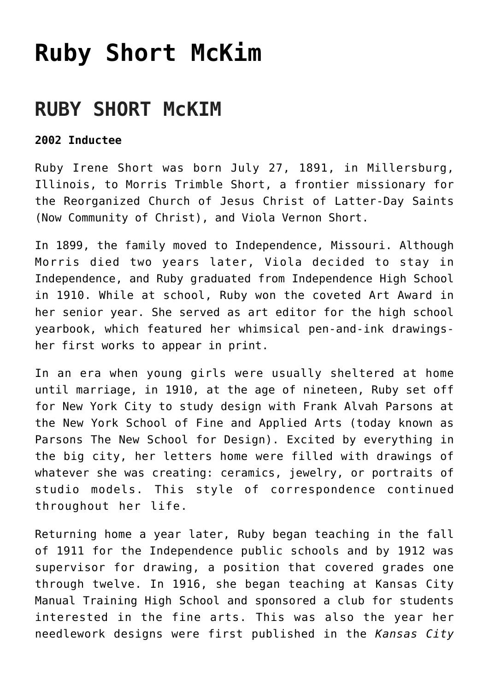## **[Ruby Short McKim](https://quiltershalloffame.net/ruby-short-mckim/)**

## **RUBY SHORT McKIM**

## **2002 Inductee**

Ruby Irene Short was born July 27, 1891, in Millersburg, Illinois, to Morris Trimble Short, a frontier missionary for the Reorganized Church of Jesus Christ of Latter-Day Saints (Now Community of Christ), and Viola Vernon Short.

In 1899, the family moved to Independence, Missouri. Although Morris died two years later, Viola decided to stay in Independence, and Ruby graduated from Independence High School in 1910. While at school, Ruby won the coveted Art Award in her senior year. She served as art editor for the high school yearbook, which featured her whimsical pen-and-ink drawingsher first works to appear in print.

In an era when young girls were usually sheltered at home until marriage, in 1910, at the age of nineteen, Ruby set off for New York City to study design with Frank Alvah Parsons at the New York School of Fine and Applied Arts (today known as Parsons The New School for Design). Excited by everything in the big city, her letters home were filled with drawings of whatever she was creating: ceramics, jewelry, or portraits of studio models. This style of correspondence continued throughout her life.

Returning home a year later, Ruby began teaching in the fall of 1911 for the Independence public schools and by 1912 was supervisor for drawing, a position that covered grades one through twelve. In 1916, she began teaching at Kansas City Manual Training High School and sponsored a club for students interested in the fine arts. This was also the year her needlework designs were first published in the *Kansas City*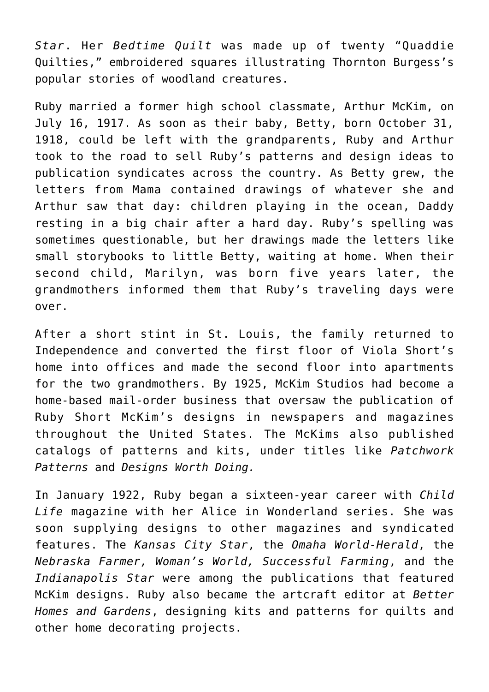*Star*. Her *Bedtime Quilt* was made up of twenty "Quaddie Quilties," embroidered squares illustrating Thornton Burgess's popular stories of woodland creatures.

Ruby married a former high school classmate, Arthur McKim, on July 16, 1917. As soon as their baby, Betty, born October 31, 1918, could be left with the grandparents, Ruby and Arthur took to the road to sell Ruby's patterns and design ideas to publication syndicates across the country. As Betty grew, the letters from Mama contained drawings of whatever she and Arthur saw that day: children playing in the ocean, Daddy resting in a big chair after a hard day. Ruby's spelling was sometimes questionable, but her drawings made the letters like small storybooks to little Betty, waiting at home. When their second child, Marilyn, was born five years later, the grandmothers informed them that Ruby's traveling days were over.

After a short stint in St. Louis, the family returned to Independence and converted the first floor of Viola Short's home into offices and made the second floor into apartments for the two grandmothers. By 1925, McKim Studios had become a home-based mail-order business that oversaw the publication of Ruby Short McKim's designs in newspapers and magazines throughout the United States. The McKims also published catalogs of patterns and kits, under titles like *Patchwork Patterns* and *Designs Worth Doing.*

In January 1922, Ruby began a sixteen-year career with *Child Life* magazine with her Alice in Wonderland series. She was soon supplying designs to other magazines and syndicated features. The *Kansas City Star*, the *Omaha World-Herald*, the *Nebraska Farmer, Woman's World, Successful Farming*, and the *Indianapolis Star* were among the publications that featured McKim designs. Ruby also became the artcraft editor at *Better Homes and Gardens*, designing kits and patterns for quilts and other home decorating projects.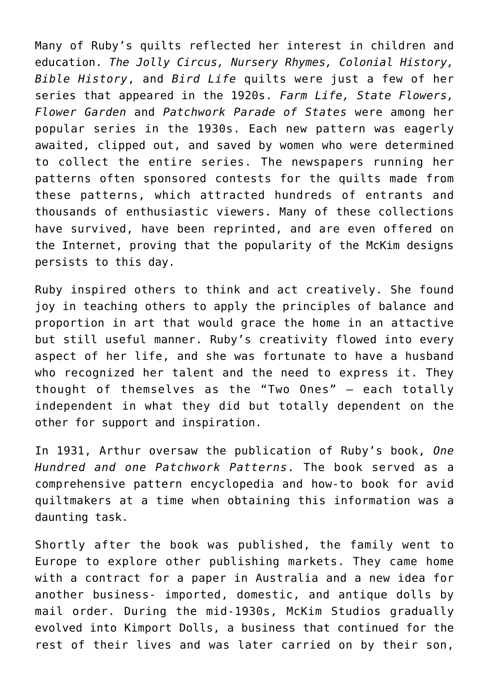Many of Ruby's quilts reflected her interest in children and education. *The Jolly Circus, Nursery Rhymes, Colonial History, Bible History*, and *Bird Life* quilts were just a few of her series that appeared in the 1920s. *Farm Life, State Flowers, Flower Garden* and *Patchwork Parade of States* were among her popular series in the 1930s. Each new pattern was eagerly awaited, clipped out, and saved by women who were determined to collect the entire series. The newspapers running her patterns often sponsored contests for the quilts made from these patterns, which attracted hundreds of entrants and thousands of enthusiastic viewers. Many of these collections have survived, have been reprinted, and are even offered on the Internet, proving that the popularity of the McKim designs persists to this day.

Ruby inspired others to think and act creatively. She found joy in teaching others to apply the principles of balance and proportion in art that would grace the home in an attactive but still useful manner. Ruby's creativity flowed into every aspect of her life, and she was fortunate to have a husband who recognized her talent and the need to express it. They thought of themselves as the "Two Ones" – each totally independent in what they did but totally dependent on the other for support and inspiration.

In 1931, Arthur oversaw the publication of Ruby's book, *One Hundred and one Patchwork Patterns*. The book served as a comprehensive pattern encyclopedia and how-to book for avid quiltmakers at a time when obtaining this information was a daunting task.

Shortly after the book was published, the family went to Europe to explore other publishing markets. They came home with a contract for a paper in Australia and a new idea for another business- imported, domestic, and antique dolls by mail order. During the mid-1930s, McKim Studios gradually evolved into Kimport Dolls, a business that continued for the rest of their lives and was later carried on by their son,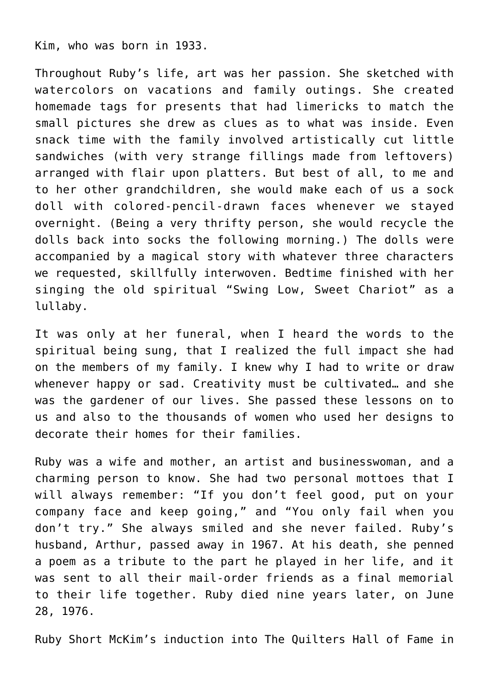Kim, who was born in 1933.

Throughout Ruby's life, art was her passion. She sketched with watercolors on vacations and family outings. She created homemade tags for presents that had limericks to match the small pictures she drew as clues as to what was inside. Even snack time with the family involved artistically cut little sandwiches (with very strange fillings made from leftovers) arranged with flair upon platters. But best of all, to me and to her other grandchildren, she would make each of us a sock doll with colored-pencil-drawn faces whenever we stayed overnight. (Being a very thrifty person, she would recycle the dolls back into socks the following morning.) The dolls were accompanied by a magical story with whatever three characters we requested, skillfully interwoven. Bedtime finished with her singing the old spiritual "Swing Low, Sweet Chariot" as a lullaby.

It was only at her funeral, when I heard the words to the spiritual being sung, that I realized the full impact she had on the members of my family. I knew why I had to write or draw whenever happy or sad. Creativity must be cultivated… and she was the gardener of our lives. She passed these lessons on to us and also to the thousands of women who used her designs to decorate their homes for their families.

Ruby was a wife and mother, an artist and businesswoman, and a charming person to know. She had two personal mottoes that I will always remember: "If you don't feel good, put on your company face and keep going," and "You only fail when you don't try." She always smiled and she never failed. Ruby's husband, Arthur, passed away in 1967. At his death, she penned a poem as a tribute to the part he played in her life, and it was sent to all their mail-order friends as a final memorial to their life together. Ruby died nine years later, on June 28, 1976.

Ruby Short McKim's induction into The Quilters Hall of Fame in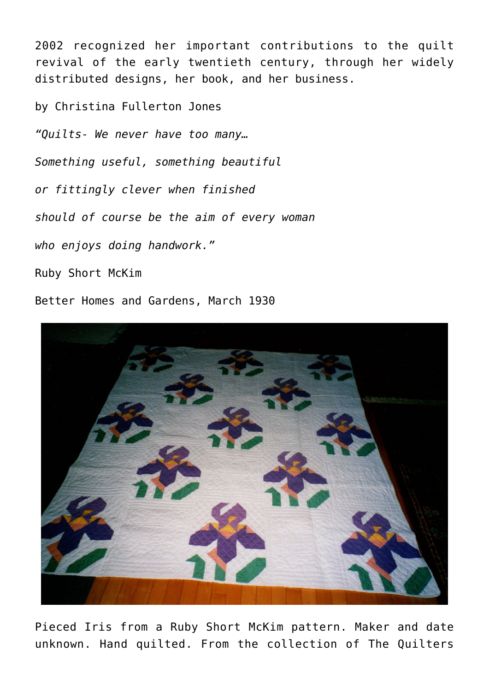2002 recognized her important contributions to the quilt revival of the early twentieth century, through her widely distributed designs, her book, and her business.

by Christina Fullerton Jones *"Quilts- We never have too many… Something useful, something beautiful or fittingly clever when finished should of course be the aim of every woman who enjoys doing handwork."* Ruby Short McKim

Better Homes and Gardens, March 1930



Pieced Iris from a Ruby Short McKim pattern. Maker and date unknown. Hand quilted. From the collection of The Quilters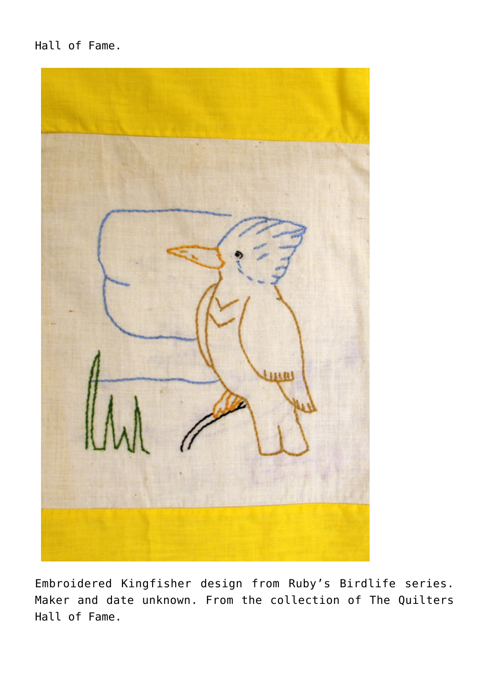Hall of Fame.



Embroidered Kingfisher design from Ruby's Birdlife series. Maker and date unknown. From the collection of The Quilters Hall of Fame.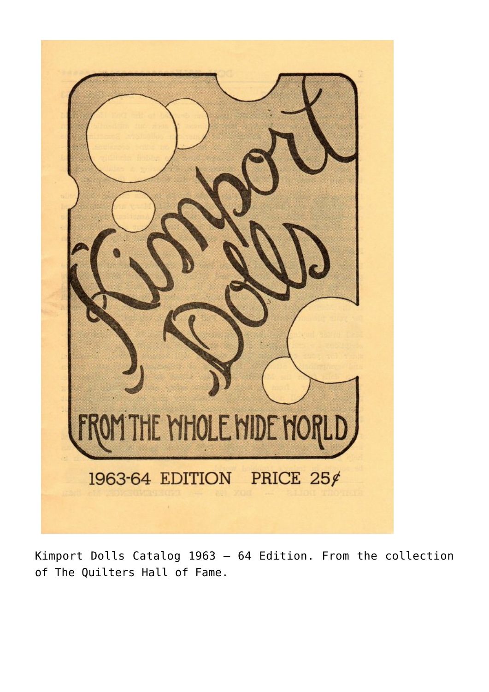

Kimport Dolls Catalog 1963 – 64 Edition. From the collection of The Quilters Hall of Fame.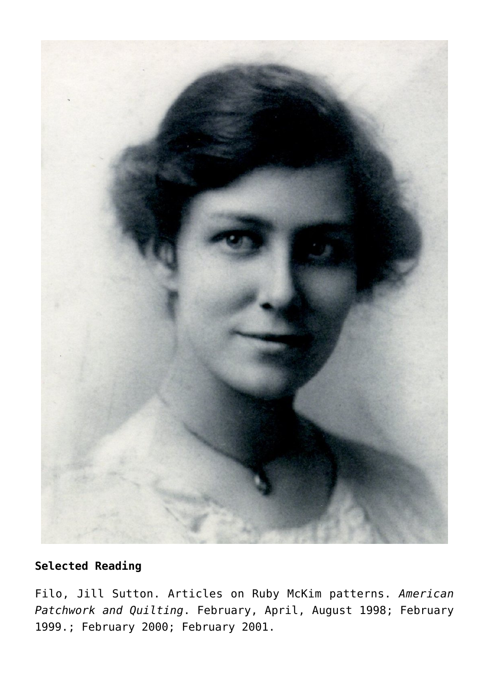

## **Selected Reading**

Filo, Jill Sutton. Articles on Ruby McKim patterns. *American Patchwork and Quilting*. February, April, August 1998; February 1999.; February 2000; February 2001.